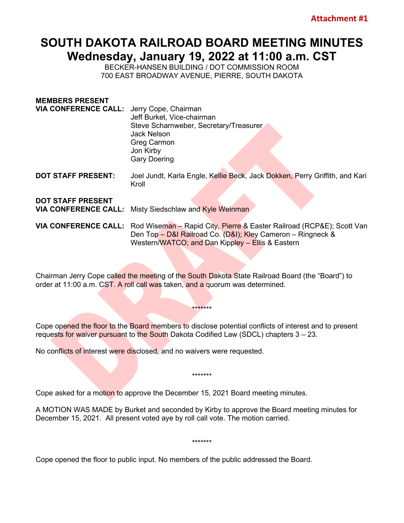## **SOUTH DAKOTA RAILROAD BOARD MEETING MINUTES Wednesday, January 19, 2022 at 11:00 a.m. CST**

BECKER-HANSEN BUILDING / DOT COMMISSION ROOM 700 EAST BROADWAY AVENUE, PIERRE, SOUTH DAKOTA

| <b>MEMBERS PRESENT</b>                                  |                                                                                                                                                                                                               |
|---------------------------------------------------------|---------------------------------------------------------------------------------------------------------------------------------------------------------------------------------------------------------------|
| <b>VIA CONFERENCE CALL:</b> Jerry Cope, Chairman        | Jeff Burket, Vice-chairman                                                                                                                                                                                    |
|                                                         | Steve Scharnweber, Secretary/Treasurer<br><b>Jack Nelson</b><br>Greg Carmon                                                                                                                                   |
|                                                         | Jon Kirby<br><b>Gary Doering</b>                                                                                                                                                                              |
| <b>DOT STAFF PRESENT:</b>                               | Joel Jundt, Karla Engle, Kellie Beck, Jack Dokken, Perry Griffith, and Kari<br>Kroll                                                                                                                          |
| <b>DOT STAFF PRESENT</b><br><b>VIA CONFERENCE CALL:</b> | Misty Siedschlaw and Kyle Weinman                                                                                                                                                                             |
|                                                         | VIA CONFERENCE CALL: Rod Wiseman - Rapid City, Pierre & Easter Railroad (RCP&E); Scott Van<br>Den Top - D&I Railroad Co. (D&I); Kley Cameron - Ringneck &<br>Western/WATCO; and Dan Kippley - Ellis & Eastern |

Chairman Jerry Cope called the meeting of the South Dakota State Railroad Board (the "Board") to order at 11:00 a.m. CST. A roll call was taken, and a quorum was determined.

Cope opened the floor to the Board members to disclose potential conflicts of interest and to present requests for waiver pursuant to the South Dakota Codified Law (SDCL) chapters 3 – 23.

\*\*\*\*\*\*\*

No conflicts of interest were disclosed, and no waivers were requested.

Cope asked for a motion to approve the December 15, 2021 Board meeting minutes.

A MOTION WAS MADE by Burket and seconded by Kirby to approve the Board meeting minutes for December 15, 2021. All present voted aye by roll call vote. The motion carried.

\*\*\*\*\*\*\*

\*\*\*\*\*\*\*

Cope opened the floor to public input. No members of the public addressed the Board.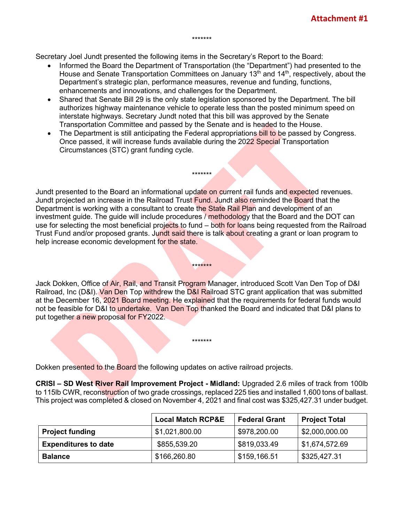\*\*\*\*\*\*\*

Secretary Joel Jundt presented the following items in the Secretary's Report to the Board:

- Informed the Board the Department of Transportation (the "Department") had presented to the House and Senate Transportation Committees on January 13<sup>th</sup> and 14<sup>th</sup>, respectively, about the Department's strategic plan, performance measures, revenue and funding, functions, enhancements and innovations, and challenges for the Department.
- Shared that Senate Bill 29 is the only state legislation sponsored by the Department. The bill authorizes highway maintenance vehicle to operate less than the posted minimum speed on interstate highways. Secretary Jundt noted that this bill was approved by the Senate Transportation Committee and passed by the Senate and is headed to the House.
- The Department is still anticipating the Federal appropriations bill to be passed by Congress. Once passed, it will increase funds available during the 2022 Special Transportation Circumstances (STC) grant funding cycle.

\*\*\*\*\*\*\*

Jundt presented to the Board an informational update on current rail funds and expected revenues. Jundt projected an increase in the Railroad Trust Fund. Jundt also reminded the Board that the Department is working with a consultant to create the State Rail Plan and development of an investment guide. The guide will include procedures / methodology that the Board and the DOT can use for selecting the most beneficial projects to fund – both for loans being requested from the Railroad Trust Fund and/or proposed grants. Jundt said there is talk about creating a grant or loan program to help increase economic development for the state.

Jack Dokken, Office of Air, Rail, and Transit Program Manager, introduced Scott Van Den Top of D&I Railroad, Inc (D&I). Van Den Top withdrew the D&I Railroad STC grant application that was submitted at the December 16, 2021 Board meeting. He explained that the requirements for federal funds would not be feasible for D&I to undertake. Van Den Top thanked the Board and indicated that D&I plans to put together a new proposal for FY2022.

\*\*\*\*\*\*\*

\*\*\*\*\*\*\*

Dokken presented to the Board the following updates on active railroad projects.

**CRISI – SD West River Rail Improvement Project - Midland:** Upgraded 2.6 miles of track from 100lb to 115lb CWR, reconstruction of two grade crossings, replaced 225 ties and installed 1,600 tons of ballast. This project was completed & closed on November 4, 2021 and final cost was \$325,427.31 under budget.

|                             | <b>Local Match RCP&amp;E</b> | <b>Federal Grant</b> | <b>Project Total</b> |
|-----------------------------|------------------------------|----------------------|----------------------|
| <b>Project funding</b>      | \$1,021,800.00               | \$978,200.00         | \$2,000,000.00       |
| <b>Expenditures to date</b> | \$855,539.20                 | \$819,033.49         | \$1,674,572.69       |
| <b>Balance</b>              | \$166,260.80                 | \$159,166.51         | \$325,427.31         |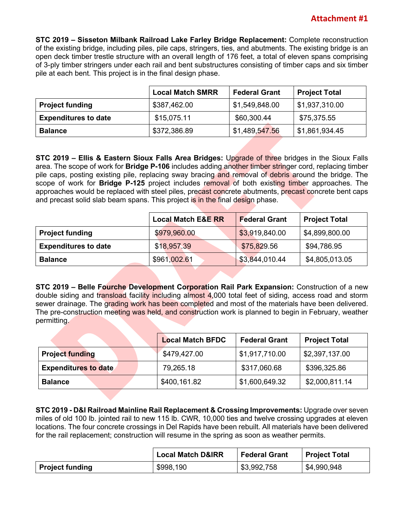**STC 2019 – Sisseton Milbank Railroad Lake Farley Bridge Replacement:** Complete reconstruction of the existing bridge, including piles, pile caps, stringers, ties, and abutments. The existing bridge is an open deck timber trestle structure with an overall length of 176 feet, a total of eleven spans comprising of 3-ply timber stringers under each rail and bent substructures consisting of timber caps and six timber pile at each bent. This project is in the final design phase.

|                             | <b>Local Match SMRR</b> | <b>Federal Grant</b> | <b>Project Total</b> |
|-----------------------------|-------------------------|----------------------|----------------------|
| <b>Project funding</b>      | \$387,462.00            | \$1,549,848.00       | \$1,937,310.00       |
| <b>Expenditures to date</b> | \$15,075.11             | \$60,300.44          | \$75,375.55          |
| <b>Balance</b>              | \$372,386.89            | \$1,489,547.56       | \$1,861,934.45       |

**STC 2019 – Ellis & Eastern Sioux Falls Area Bridges:** Upgrade of three bridges in the Sioux Falls area. The scope of work for **Bridge P-106** includes adding another timber stringer cord, replacing timber pile caps, posting existing pile, replacing sway bracing and removal of debris around the bridge. The scope of work for **Bridge P-125** project includes removal of both existing timber approaches. The approaches would be replaced with steel piles, precast concrete abutments, precast concrete bent caps and precast solid slab beam spans. This project is in the final design phase.

|                             | <b>Local Match E&amp;E RR</b> | <b>Federal Grant</b> | <b>Project Total</b> |
|-----------------------------|-------------------------------|----------------------|----------------------|
| <b>Project funding</b>      | \$979,960.00                  | \$3,919,840.00       | \$4,899,800.00       |
| <b>Expenditures to date</b> | \$18,957.39                   | \$75,829.56          | \$94,786.95          |
| <b>Balance</b>              | \$961,002.61                  | \$3,844,010.44       | \$4,805,013.05       |

**STC 2019 – Belle Fourche Development Corporation Rail Park Expansion:** Construction of a new double siding and transload facility including almost 4,000 total feet of siding, access road and storm sewer drainage. The grading work has been completed and most of the materials have been delivered. The pre-construction meeting was held, and construction work is planned to begin in February, weather permitting.

|                             | <b>Local Match BFDC</b> | <b>Federal Grant</b> | <b>Project Total</b> |
|-----------------------------|-------------------------|----------------------|----------------------|
| <b>Project funding</b>      | \$479,427.00            | \$1,917,710.00       | \$2,397,137.00       |
| <b>Expenditures to date</b> | 79,265.18               | \$317,060.68         | \$396,325.86         |
| <b>Balance</b>              | \$400,161.82            | \$1,600,649.32       | \$2,000,811.14       |

**STC 2019 - D&I Railroad Mainline Rail Replacement & Crossing Improvements:** Upgrade over seven miles of old 100 lb. jointed rail to new 115 lb. CWR, 10,000 ties and twelve crossing upgrades at eleven locations. The four concrete crossings in Del Rapids have been rebuilt. All materials have been delivered for the rail replacement; construction will resume in the spring as soon as weather permits.

|                        | <b>Local Match D&amp;IRR</b> | <b>Federal Grant</b> | <b>Project Total</b> |
|------------------------|------------------------------|----------------------|----------------------|
| <b>Project funding</b> | \$998,190                    | \$3,992,758          | \$4,990,948          |